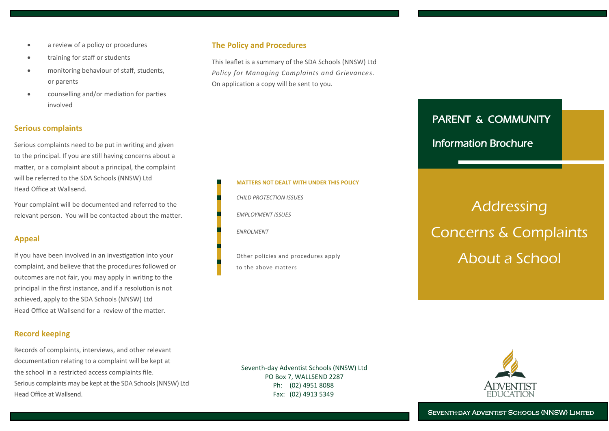- a review of a policy or procedures
- training for staff or students
- monitoring behaviour of staff, students, or parents
- counselling and/or mediation for parties involved

# **Serious complaints**

Serious complaints need to be put in writing and given to the principal. If you are still having concerns about a matter, or a complaint about a principal, the complaint will be referred to the SDA Schools (NNSW) Ltd Head Office at Wallsend.

Your complaint will be documented and referred to the relevant person. You will be contacted about the matter.

# **Appeal**

If you have been involved in an investigation into your complaint, and believe that the procedures followed or outcomes are not fair, you may apply in writing to the principal in the first instance, and if a resolution is not achieved, apply to the SDA Schools (NNSW) Ltd Head Office at Wallsend for a review of the matter.

# **Record keeping**

Records of complaints, interviews, and other relevant documentation relating to a complaint will be kept at the school in a restricted access complaints file. Serious complaints may be kept at the SDA Schools (NNSW) Ltd Head Office at Wallsend.

# **The Policy and Procedures**

This leaflet is a summary of the SDA Schools (NNSW) Ltd *Policy for Managing Complaints and Grievances.* On application a copy will be sent to you.

**MATTERS NOT DEALT WITH UNDER THIS POLICY**

Other policies and procedures apply

*CHILD PROTECTION ISSUES*

*EMPLOYMENT ISSUES*

to the above matters

*ENROLMENT*

# PARENT & COMMUNITY

# Information Brochure

# Addressing Concerns & Complaints About a School

Seventh-day Adventist Schools (NNSW) Ltd PO Box 7, WALLSEND 2287 Ph: (02) 4951 8088 Fax: (02) 4913 5349